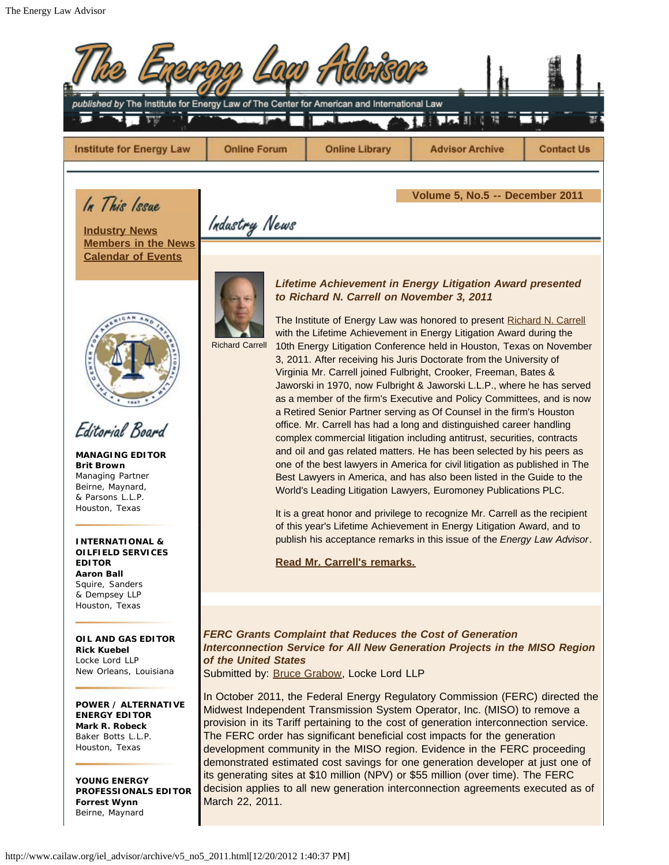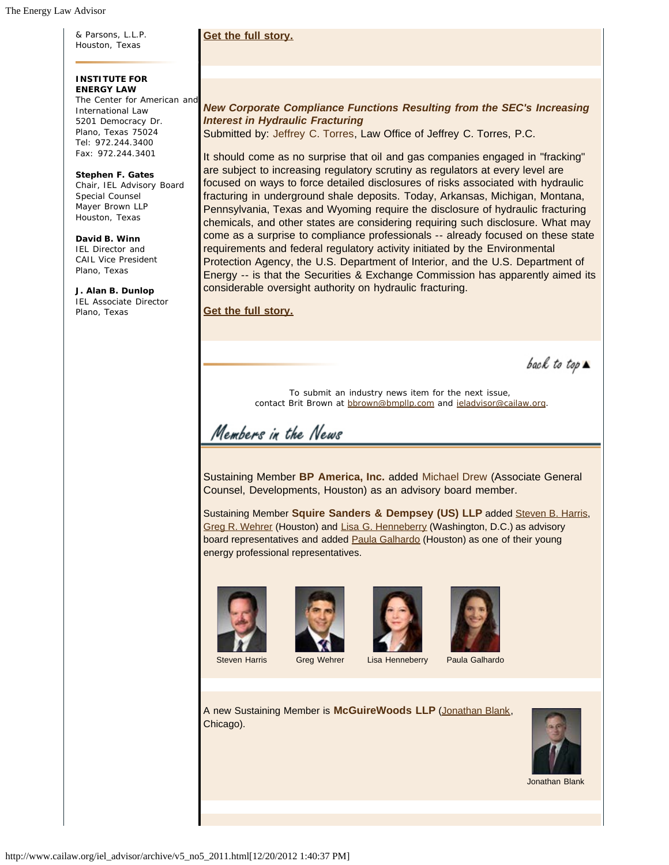& Parsons, L.L.P. Houston, Texas

# **Get the full story.**

# *New Corporate Compliance Functions Resulting from the SEC's Increasing Interest in Hydraulic Fracturing*

Submitted by: Jeffrey C. Torres, Law Office of Jeffrey C. Torres, P.C.

It should come as no surprise that oil and gas companies engaged in "fracking" are subject to increasing regulatory scrutiny as regulators at every level are focused on ways to force detailed disclosures of risks associated with hydraulic fracturing in underground shale deposits. Today, Arkansas, Michigan, Montana, Pennsylvania, Texas and Wyoming require the disclosure of hydraulic fracturing chemicals, and other states are considering requiring such disclosure. What may come as a surprise to compliance professionals -- already focused on these state requirements and federal regulatory activity initiated by the Environmental Protection Agency, the U.S. Department of Interior, and the U.S. Department of Energy -- is that the Securities & Exchange Commission has apparently aimed its considerable oversight authority on hydraulic fracturing.

**Get the full story.**

back to top  $\blacktriangle$ 

To submit an industry news item for the next issue, contact Brit Brown at [bbrown@bmpllp.com](mailto:bbrown@bmpllp.com) and [ieladvisor@cailaw.org.](mailto:ieladvisor@cailaw.org)

Members in the News

Sustaining Member **BP America, Inc.** added Michael Drew (Associate General Counsel, Developments, Houston) as an advisory board member.

Sustaining Member **Squire Sanders & Dempsey (US) LLP** added Steven B. Harris, Greg R. Wehrer (Houston) and Lisa G. Henneberry (Washington, D.C.) as advisory board representatives and added **Paula Galhardo** (Houston) as one of their young energy professional representatives.









Steven Harris Greg Wehrer Lisa Henneberry Paula Galhardo

A new Sustaining Member is **McGuireWoods LLP** ([Jonathan Blank,](http://www.mcguirewoods.com/lawyers/index/Jonathan_T_Blank.asp) Chicago).



Jonathan Blank

**INSTITUTE FOR ENERGY LAW** The Center for American and International Law 5201 Democracy Dr. Plano, Texas 75024 Tel: 972.244.3400

Fax: 972.244.3401

**Stephen F. Gates** Chair, IEL Advisory Board Special Counsel Mayer Brown LLP Houston, Texas

**David B. Winn** IEL Director and CAIL Vice President Plano, Texas

**J. Alan B. Dunlop** IEL Associate Director Plano, Texas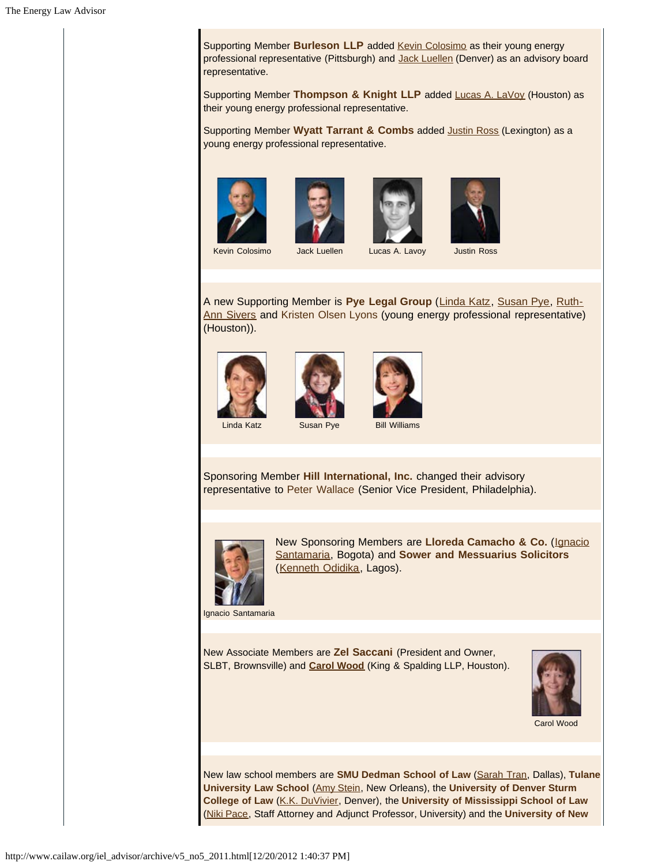Supporting Member **Burleson LLP** added **Kevin Colosimo** as their young energy professional representative (Pittsburgh) and Jack Luellen (Denver) as an advisory board representative.

Supporting Member **Thompson & Knight LLP** added Lucas A. LaVoy (Houston) as their young energy professional representative.

Supporting Member **Wyatt Tarrant & Combs** added Justin Ross (Lexington) as a young energy professional representative.









Kevin Colosimo Jack Luellen Lucas A. Lavoy Justin Ross

A new Supporting Member is **Pye Legal Group** (Linda Katz, Susan Pye, Ruth-Ann Sivers and Kristen Olsen Lyons (young energy professional representative) (Houston)).







Linda Katz **Susan Pye** Bill Williams

Sponsoring Member **Hill International, Inc.** changed their advisory representative to Peter Wallace (Senior Vice President, Philadelphia).



New Sponsoring Members are **Lloreda Camacho & Co.** (Ignacio Santamaria, Bogota) and **Sower and Messuarius Solicitors** (Kenneth Odidika, Lagos).

Ignacio Santamaria

New Associate Members are **Zel Saccani** (President and Owner, SLBT, Brownsville) and **Carol Wood** (King & Spalding LLP, Houston).



Carol Wood

New law school members are **SMU Dedman School of Law** (Sarah Tran, Dallas), **Tulane University Law School** (Amy Stein, New Orleans), the **University of Denver Sturm College of Law** (K.K. DuVivier, Denver), the **University of Mississippi School of Law** (Niki Pace, Staff Attorney and Adjunct Professor, University) and the **University of New**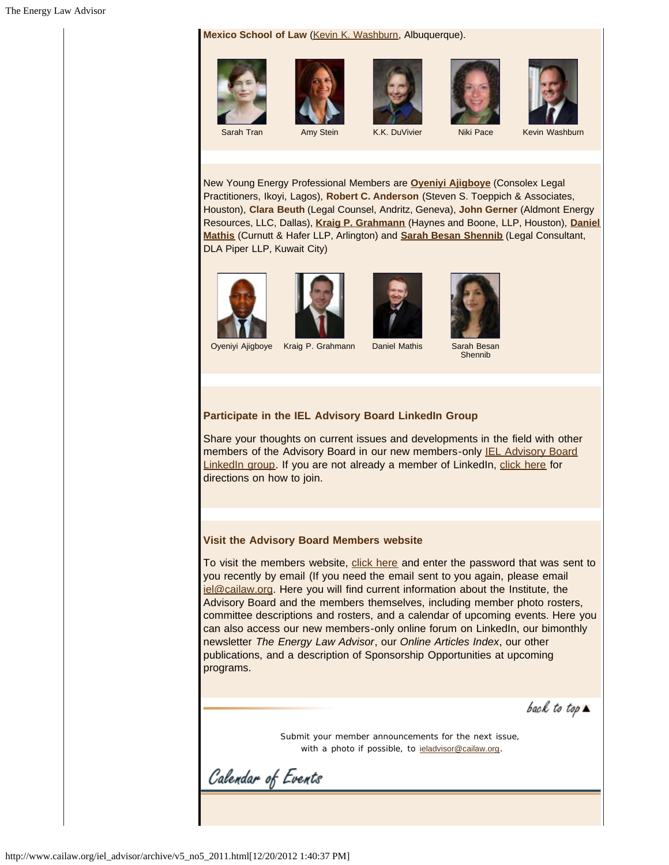Mexico School of Law (Kevin K. Washburn, Albuquerque).











Sarah Tran Amy Stein K.K. DuVivier Niki Pace Kevin Washburn

New Young Energy Professional Members are **Oyeniyi Ajigboye** (Consolex Legal Practitioners, Ikoyi, Lagos), **Robert C. Anderson** (Steven S. Toeppich & Associates, Houston), **Clara Beuth** (Legal Counsel, Andritz, Geneva), **John Gerner** (Aldmont Energy Resources, LLC, Dallas), **Kraig P. Grahmann** (Haynes and Boone, LLP, Houston), **Daniel Mathis** (Curnutt & Hafer LLP, Arlington) and **Sarah Besan Shennib** (Legal Consultant, DLA Piper LLP, Kuwait City)









Oyeniyi Ajigboye Kraig P. Grahmann Daniel Mathis Sarah Besan **Shennib** 

# **Participate in the IEL Advisory Board LinkedIn Group**

Share your thoughts on current issues and developments in the field with other members of the Advisory Board in our new members-only IEL Advisory Board LinkedIn group. If you are not already a member of LinkedIn, click here for directions on how to join.

#### **Visit the Advisory Board Members website**

To visit the members website, click here and enter the password that was sent to you recently by email (If you need the email sent to you again, please email iel@cailaw.org. Here you will find current information about the Institute, the Advisory Board and the members themselves, including member photo rosters, committee descriptions and rosters, and a calendar of upcoming events. Here you can also access our new members-only online forum on LinkedIn, our bimonthly newsletter *The Energy Law Advisor*, our *Online Articles Index*, our other publications, and a description of Sponsorship Opportunities at upcoming programs.

back to top  $\blacktriangle$ 

Submit your member announcements for the next issue, with a photo if possible, to ieladvisor@cailaw.org.

Calendar of Events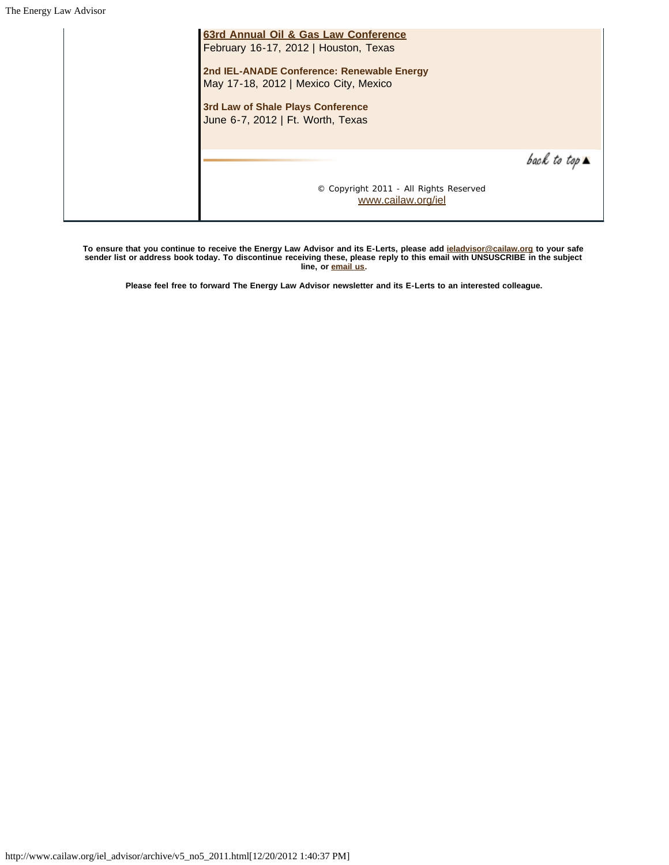| 63rd Annual Oil & Gas Law Conference<br>February 16-17, 2012   Houston, Texas       |                              |
|-------------------------------------------------------------------------------------|------------------------------|
| 2nd IEL-ANADE Conference: Renewable Energy<br>May 17-18, 2012   Mexico City, Mexico |                              |
| 3rd Law of Shale Plays Conference<br>June 6-7, 2012   Ft. Worth, Texas              |                              |
|                                                                                     | back to top $\blacktriangle$ |
| © Copyright 2011 - All Rights Reserved<br>www.cailaw.org/iel                        |                              |

**To ensure that you continue to receive the Energy Law Advisor and its E-Lerts, please add ieladvisor@cailaw.org to your safe sender list or address book today. To discontinue receiving these, please reply to this email with UNSUSCRIBE in the subject line, or email us.**

**Please feel free to forward The Energy Law Advisor newsletter and its E-Lerts to an interested colleague.**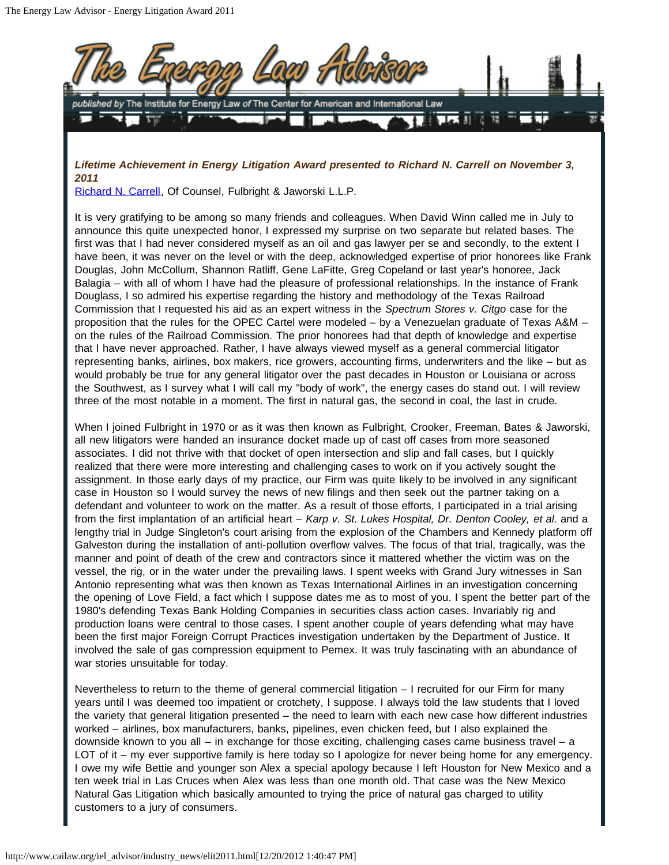

*Lifetime Achievement in Energy Litigation Award presented to Richard N. Carrell on November 3, 2011*

Richard N. Carrell, Of Counsel, Fulbright & Jaworski L.L.P.

It is very gratifying to be among so many friends and colleagues. When David Winn called me in July to announce this quite unexpected honor, I expressed my surprise on two separate but related bases. The first was that I had never considered myself as an oil and gas lawyer per se and secondly, to the extent I have been, it was never on the level or with the deep, acknowledged expertise of prior honorees like Frank Douglas, John McCollum, Shannon Ratliff, Gene LaFitte, Greg Copeland or last year's honoree, Jack Balagia – with all of whom I have had the pleasure of professional relationships. In the instance of Frank Douglass, I so admired his expertise regarding the history and methodology of the Texas Railroad Commission that I requested his aid as an expert witness in the *Spectrum Stores v. Citgo* case for the proposition that the rules for the OPEC Cartel were modeled – by a Venezuelan graduate of Texas A&M – on the rules of the Railroad Commission. The prior honorees had that depth of knowledge and expertise that I have never approached. Rather, I have always viewed myself as a general commercial litigator representing banks, airlines, box makers, rice growers, accounting firms, underwriters and the like – but as would probably be true for any general litigator over the past decades in Houston or Louisiana or across the Southwest, as I survey what I will call my "body of work", the energy cases do stand out. I will review three of the most notable in a moment. The first in natural gas, the second in coal, the last in crude.

When I joined Fulbright in 1970 or as it was then known as Fulbright, Crooker, Freeman, Bates & Jaworski, all new litigators were handed an insurance docket made up of cast off cases from more seasoned associates. I did not thrive with that docket of open intersection and slip and fall cases, but I quickly realized that there were more interesting and challenging cases to work on if you actively sought the assignment. In those early days of my practice, our Firm was quite likely to be involved in any significant case in Houston so I would survey the news of new filings and then seek out the partner taking on a defendant and volunteer to work on the matter. As a result of those efforts, I participated in a trial arising from the first implantation of an artificial heart – *Karp v. St. Lukes Hospital, Dr. Denton Cooley, et al.* and a lengthy trial in Judge Singleton's court arising from the explosion of the Chambers and Kennedy platform off Galveston during the installation of anti-pollution overflow valves. The focus of that trial, tragically, was the manner and point of death of the crew and contractors since it mattered whether the victim was on the vessel, the rig, or in the water under the prevailing laws. I spent weeks with Grand Jury witnesses in San Antonio representing what was then known as Texas International Airlines in an investigation concerning the opening of Love Field, a fact which I suppose dates me as to most of you. I spent the better part of the 1980's defending Texas Bank Holding Companies in securities class action cases. Invariably rig and production loans were central to those cases. I spent another couple of years defending what may have been the first major Foreign Corrupt Practices investigation undertaken by the Department of Justice. It involved the sale of gas compression equipment to Pemex. It was truly fascinating with an abundance of war stories unsuitable for today.

Nevertheless to return to the theme of general commercial litigation – I recruited for our Firm for many years until I was deemed too impatient or crotchety, I suppose. I always told the law students that I loved the variety that general litigation presented – the need to learn with each new case how different industries worked – airlines, box manufacturers, banks, pipelines, even chicken feed, but I also explained the downside known to you all – in exchange for those exciting, challenging cases came business travel – a LOT of it – my ever supportive family is here today so I apologize for never being home for any emergency. I owe my wife Bettie and younger son Alex a special apology because I left Houston for New Mexico and a ten week trial in Las Cruces when Alex was less than one month old. That case was the New Mexico Natural Gas Litigation which basically amounted to trying the price of natural gas charged to utility customers to a jury of consumers.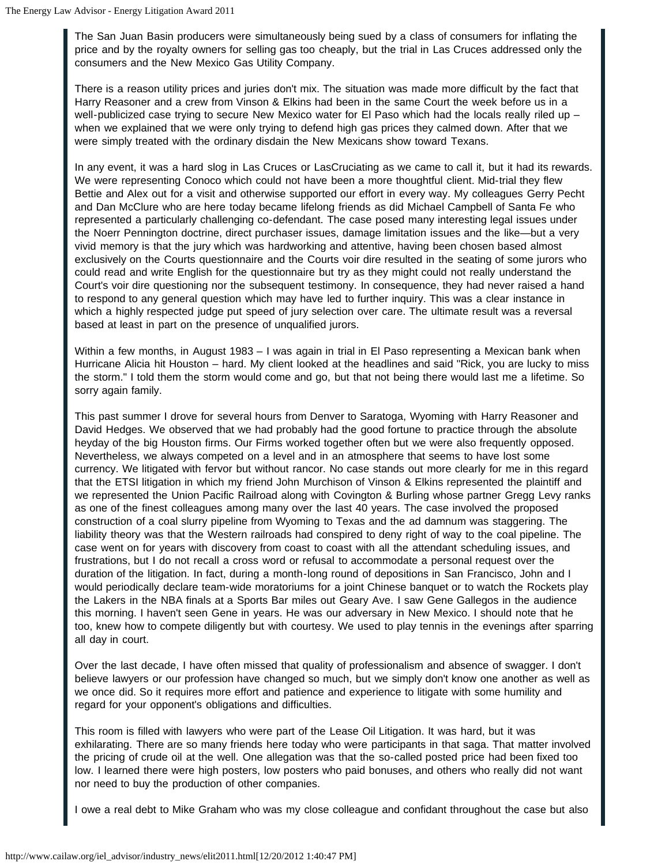The San Juan Basin producers were simultaneously being sued by a class of consumers for inflating the price and by the royalty owners for selling gas too cheaply, but the trial in Las Cruces addressed only the consumers and the New Mexico Gas Utility Company.

There is a reason utility prices and juries don't mix. The situation was made more difficult by the fact that Harry Reasoner and a crew from Vinson & Elkins had been in the same Court the week before us in a well-publicized case trying to secure New Mexico water for El Paso which had the locals really riled up – when we explained that we were only trying to defend high gas prices they calmed down. After that we were simply treated with the ordinary disdain the New Mexicans show toward Texans.

In any event, it was a hard slog in Las Cruces or LasCruciating as we came to call it, but it had its rewards. We were representing Conoco which could not have been a more thoughtful client. Mid-trial they flew Bettie and Alex out for a visit and otherwise supported our effort in every way. My colleagues Gerry Pecht and Dan McClure who are here today became lifelong friends as did Michael Campbell of Santa Fe who represented a particularly challenging co-defendant. The case posed many interesting legal issues under the Noerr Pennington doctrine, direct purchaser issues, damage limitation issues and the like—but a very vivid memory is that the jury which was hardworking and attentive, having been chosen based almost exclusively on the Courts questionnaire and the Courts voir dire resulted in the seating of some jurors who could read and write English for the questionnaire but try as they might could not really understand the Court's voir dire questioning nor the subsequent testimony. In consequence, they had never raised a hand to respond to any general question which may have led to further inquiry. This was a clear instance in which a highly respected judge put speed of jury selection over care. The ultimate result was a reversal based at least in part on the presence of unqualified jurors.

Within a few months, in August 1983 – I was again in trial in El Paso representing a Mexican bank when Hurricane Alicia hit Houston – hard. My client looked at the headlines and said "Rick, you are lucky to miss the storm." I told them the storm would come and go, but that not being there would last me a lifetime. So sorry again family.

This past summer I drove for several hours from Denver to Saratoga, Wyoming with Harry Reasoner and David Hedges. We observed that we had probably had the good fortune to practice through the absolute heyday of the big Houston firms. Our Firms worked together often but we were also frequently opposed. Nevertheless, we always competed on a level and in an atmosphere that seems to have lost some currency. We litigated with fervor but without rancor. No case stands out more clearly for me in this regard that the ETSI litigation in which my friend John Murchison of Vinson & Elkins represented the plaintiff and we represented the Union Pacific Railroad along with Covington & Burling whose partner Gregg Levy ranks as one of the finest colleagues among many over the last 40 years. The case involved the proposed construction of a coal slurry pipeline from Wyoming to Texas and the ad damnum was staggering. The liability theory was that the Western railroads had conspired to deny right of way to the coal pipeline. The case went on for years with discovery from coast to coast with all the attendant scheduling issues, and frustrations, but I do not recall a cross word or refusal to accommodate a personal request over the duration of the litigation. In fact, during a month-long round of depositions in San Francisco, John and I would periodically declare team-wide moratoriums for a joint Chinese banquet or to watch the Rockets play the Lakers in the NBA finals at a Sports Bar miles out Geary Ave. I saw Gene Gallegos in the audience this morning. I haven't seen Gene in years. He was our adversary in New Mexico. I should note that he too, knew how to compete diligently but with courtesy. We used to play tennis in the evenings after sparring all day in court.

Over the last decade, I have often missed that quality of professionalism and absence of swagger. I don't believe lawyers or our profession have changed so much, but we simply don't know one another as well as we once did. So it requires more effort and patience and experience to litigate with some humility and regard for your opponent's obligations and difficulties.

This room is filled with lawyers who were part of the Lease Oil Litigation. It was hard, but it was exhilarating. There are so many friends here today who were participants in that saga. That matter involved the pricing of crude oil at the well. One allegation was that the so-called posted price had been fixed too low. I learned there were high posters, low posters who paid bonuses, and others who really did not want nor need to buy the production of other companies.

I owe a real debt to Mike Graham who was my close colleague and confidant throughout the case but also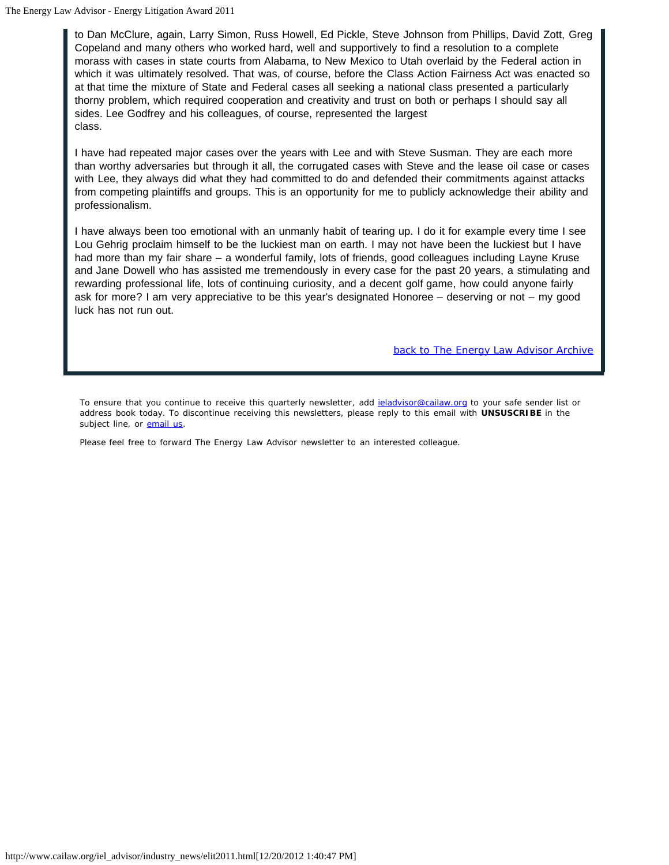to Dan McClure, again, Larry Simon, Russ Howell, Ed Pickle, Steve Johnson from Phillips, David Zott, Greg Copeland and many others who worked hard, well and supportively to find a resolution to a complete morass with cases in state courts from Alabama, to New Mexico to Utah overlaid by the Federal action in which it was ultimately resolved. That was, of course, before the Class Action Fairness Act was enacted so at that time the mixture of State and Federal cases all seeking a national class presented a particularly thorny problem, which required cooperation and creativity and trust on both or perhaps I should say all sides. Lee Godfrey and his colleagues, of course, represented the largest class.

I have had repeated major cases over the years with Lee and with Steve Susman. They are each more than worthy adversaries but through it all, the corrugated cases with Steve and the lease oil case or cases with Lee, they always did what they had committed to do and defended their commitments against attacks from competing plaintiffs and groups. This is an opportunity for me to publicly acknowledge their ability and professionalism.

I have always been too emotional with an unmanly habit of tearing up. I do it for example every time I see Lou Gehrig proclaim himself to be the luckiest man on earth. I may not have been the luckiest but I have had more than my fair share – a wonderful family, lots of friends, good colleagues including Layne Kruse and Jane Dowell who has assisted me tremendously in every case for the past 20 years, a stimulating and rewarding professional life, lots of continuing curiosity, and a decent golf game, how could anyone fairly ask for more? I am very appreciative to be this year's designated Honoree – deserving or not – my good luck has not run out.

*back to The Energy Law Advisor Archive*

To ensure that you continue to receive this quarterly newsletter, add *ieladvisor@cailaw.org* to your safe sender list or address book today. To discontinue receiving this newsletters, please reply to this email with **UNSUSCRIBE** in the subject line, or email us.

Please feel free to forward The Energy Law Advisor newsletter to an interested colleague.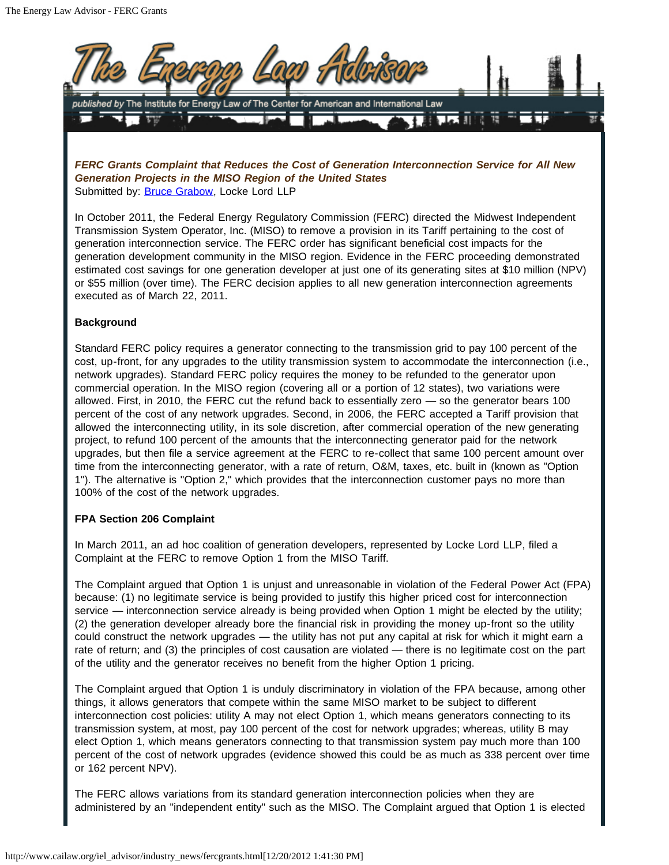

*FERC Grants Complaint that Reduces the Cost of Generation Interconnection Service for All New Generation Projects in the MISO Region of the United States* Submitted by: **Bruce Grabow**, Locke Lord LLP

In October 2011, the Federal Energy Regulatory Commission (FERC) directed the Midwest Independent Transmission System Operator, Inc. (MISO) to remove a provision in its Tariff pertaining to the cost of generation interconnection service. The FERC order has significant beneficial cost impacts for the generation development community in the MISO region. Evidence in the FERC proceeding demonstrated estimated cost savings for one generation developer at just one of its generating sites at \$10 million (NPV) or \$55 million (over time). The FERC decision applies to all new generation interconnection agreements executed as of March 22, 2011.

# **Background**

Standard FERC policy requires a generator connecting to the transmission grid to pay 100 percent of the cost, up-front, for any upgrades to the utility transmission system to accommodate the interconnection (i.e., network upgrades). Standard FERC policy requires the money to be refunded to the generator upon commercial operation. In the MISO region (covering all or a portion of 12 states), two variations were allowed. First, in 2010, the FERC cut the refund back to essentially zero — so the generator bears 100 percent of the cost of any network upgrades. Second, in 2006, the FERC accepted a Tariff provision that allowed the interconnecting utility, in its sole discretion, after commercial operation of the new generating project, to refund 100 percent of the amounts that the interconnecting generator paid for the network upgrades, but then file a service agreement at the FERC to re-collect that same 100 percent amount over time from the interconnecting generator, with a rate of return, O&M, taxes, etc. built in (known as "Option 1"). The alternative is "Option 2," which provides that the interconnection customer pays no more than 100% of the cost of the network upgrades.

#### **FPA Section 206 Complaint**

In March 2011, an ad hoc coalition of generation developers, represented by Locke Lord LLP, filed a Complaint at the FERC to remove Option 1 from the MISO Tariff.

The Complaint argued that Option 1 is unjust and unreasonable in violation of the Federal Power Act (FPA) because: (1) no legitimate service is being provided to justify this higher priced cost for interconnection service — interconnection service already is being provided when Option 1 might be elected by the utility; (2) the generation developer already bore the financial risk in providing the money up-front so the utility could construct the network upgrades — the utility has not put any capital at risk for which it might earn a rate of return; and (3) the principles of cost causation are violated — there is no legitimate cost on the part of the utility and the generator receives no benefit from the higher Option 1 pricing.

The Complaint argued that Option 1 is unduly discriminatory in violation of the FPA because, among other things, it allows generators that compete within the same MISO market to be subject to different interconnection cost policies: utility A may not elect Option 1, which means generators connecting to its transmission system, at most, pay 100 percent of the cost for network upgrades; whereas, utility B may elect Option 1, which means generators connecting to that transmission system pay much more than 100 percent of the cost of network upgrades (evidence showed this could be as much as 338 percent over time or 162 percent NPV).

The FERC allows variations from its standard generation interconnection policies when they are administered by an "independent entity" such as the MISO. The Complaint argued that Option 1 is elected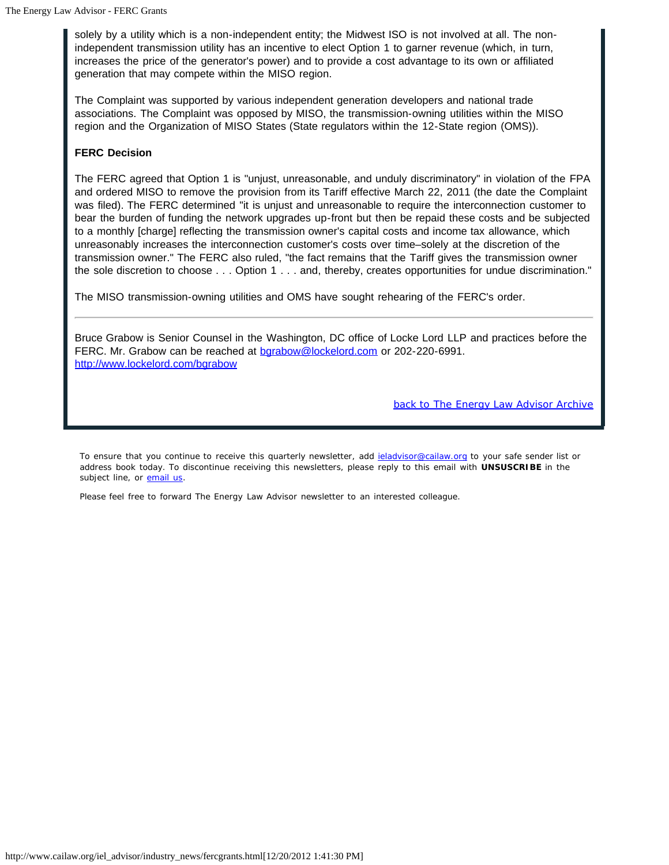solely by a utility which is a non-independent entity; the Midwest ISO is not involved at all. The nonindependent transmission utility has an incentive to elect Option 1 to garner revenue (which, in turn, increases the price of the generator's power) and to provide a cost advantage to its own or affiliated generation that may compete within the MISO region.

The Complaint was supported by various independent generation developers and national trade associations. The Complaint was opposed by MISO, the transmission-owning utilities within the MISO region and the Organization of MISO States (State regulators within the 12-State region (OMS)).

# **FERC Decision**

The FERC agreed that Option 1 is "unjust, unreasonable, and unduly discriminatory" in violation of the FPA and ordered MISO to remove the provision from its Tariff effective March 22, 2011 (the date the Complaint was filed). The FERC determined "it is unjust and unreasonable to require the interconnection customer to bear the burden of funding the network upgrades up-front but then be repaid these costs and be subjected to a monthly [charge] reflecting the transmission owner's capital costs and income tax allowance, which unreasonably increases the interconnection customer's costs over time–solely at the discretion of the transmission owner." The FERC also ruled, "the fact remains that the Tariff gives the transmission owner the sole discretion to choose . . . Option 1 . . . and, thereby, creates opportunities for undue discrimination."

The MISO transmission-owning utilities and OMS have sought rehearing of the FERC's order.

Bruce Grabow is Senior Counsel in the Washington, DC office of Locke Lord LLP and practices before the FERC. Mr. Grabow can be reached at barabow@lockelord.com or 202-220-6991. http://www.lockelord.com/bgrabow

*back to The Energy Law Advisor Archive*

To ensure that you continue to receive this quarterly newsletter, add jeladvisor@cailaw.org to your safe sender list or address book today. To discontinue receiving this newsletters, please reply to this email with **UNSUSCRIBE** in the subject line, or email us.

Please feel free to forward The Energy Law Advisor newsletter to an interested colleague.